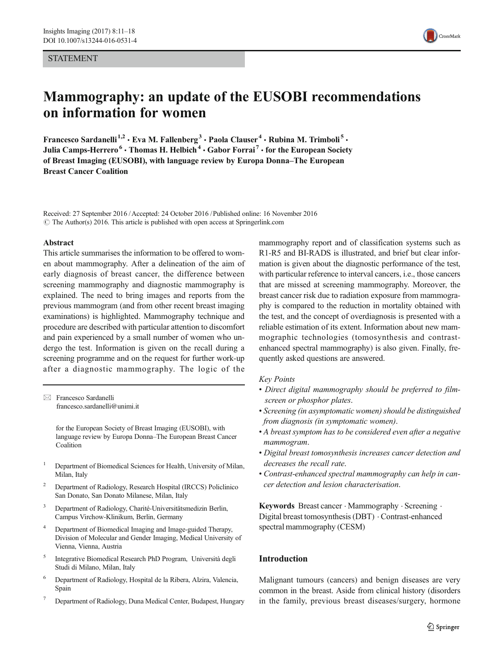# **STATEMENT**



# Mammography: an update of the EUSOBI recommendations on information for women

Francesco Sardanelli<sup>1,2</sup> · Eva M. Fallenberg<sup>3</sup> · Paola Clauser<sup>4</sup> · Rubina M. Trimboli<sup>5</sup> · Julia Camps-Herrero<sup>6</sup>  $\cdot$  Thomas H. Helbich<sup>4</sup>  $\cdot$  Gabor Forrai<sup>7</sup>  $\cdot$  for the European Society of Breast Imaging (EUSOBI), with language review by Europa Donna–The European Breast Cancer Coalition

Received: 27 September 2016 /Accepted: 24 October 2016 /Published online: 16 November 2016  $\odot$  The Author(s) 2016. This article is published with open access at Springerlink.com

#### Abstract

This article summarises the information to be offered to women about mammography. After a delineation of the aim of early diagnosis of breast cancer, the difference between screening mammography and diagnostic mammography is explained. The need to bring images and reports from the previous mammogram (and from other recent breast imaging examinations) is highlighted. Mammography technique and procedure are described with particular attention to discomfort and pain experienced by a small number of women who undergo the test. Information is given on the recall during a screening programme and on the request for further work-up after a diagnostic mammography. The logic of the

 $\boxtimes$  Francesco Sardanelli francesco.sardanelli@unimi.it

> for the European Society of Breast Imaging (EUSOBI), with language review by Europa Donna–The European Breast Cancer Coalition

- <sup>1</sup> Department of Biomedical Sciences for Health, University of Milan, Milan, Italy
- <sup>2</sup> Department of Radiology, Research Hospital (IRCCS) Policlinico San Donato, San Donato Milanese, Milan, Italy
- <sup>3</sup> Department of Radiology, Charité-Universitätsmedizin Berlin, Campus Virchow-Klinikum, Berlin, Germany
- <sup>4</sup> Department of Biomedical Imaging and Image-guided Therapy, Division of Molecular and Gender Imaging, Medical University of Vienna, Vienna, Austria
- <sup>5</sup> Integrative Biomedical Research PhD Program, Università degli Studi di Milano, Milan, Italy
- <sup>6</sup> Department of Radiology, Hospital de la Ribera, Alzira, Valencia, Spain
- <sup>7</sup> Department of Radiology, Duna Medical Center, Budapest, Hungary

mammography report and of classification systems such as R1-R5 and BI-RADS is illustrated, and brief but clear information is given about the diagnostic performance of the test, with particular reference to interval cancers, i.e., those cancers that are missed at screening mammography. Moreover, the breast cancer risk due to radiation exposure from mammography is compared to the reduction in mortality obtained with the test, and the concept of overdiagnosis is presented with a reliable estimation of its extent. Information about new mammographic technologies (tomosynthesis and contrastenhanced spectral mammography) is also given. Finally, frequently asked questions are answered.

#### Key Points

- Direct digital mammography should be preferred to filmscreen or phosphor plates.
- Screening (in asymptomatic women) should be distinguished from diagnosis (in symptomatic women).
- A breast symptom has to be considered even after a negative mammogram.
- Digital breast tomosynthesis increases cancer detection and decreases the recall rate.
- Contrast-enhanced spectral mammography can help in cancer detection and lesion characterisation.

Keywords Breast cancer  $\cdot$  Mammography  $\cdot$  Screening  $\cdot$ Digital breast tomosynthesis (DBT) . Contrast-enhanced spectral mammography (CESM)

## Introduction

Malignant tumours (cancers) and benign diseases are very common in the breast. Aside from clinical history (disorders in the family, previous breast diseases/surgery, hormone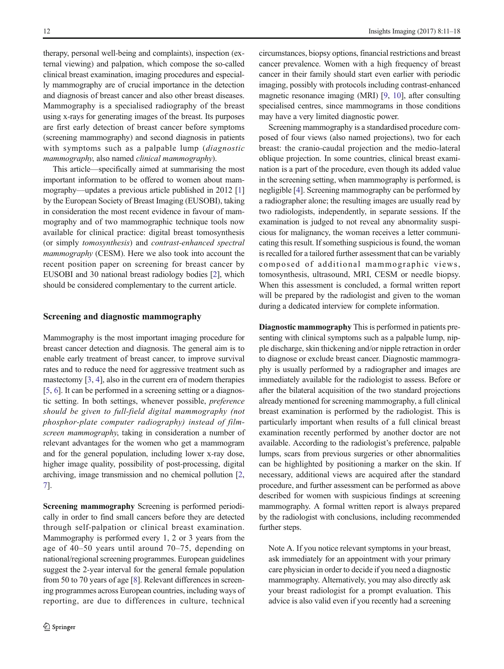therapy, personal well-being and complaints), inspection (external viewing) and palpation, which compose the so-called clinical breast examination, imaging procedures and especially mammography are of crucial importance in the detection and diagnosis of breast cancer and also other breast diseases. Mammography is a specialised radiography of the breast using x-rays for generating images of the breast. Its purposes are first early detection of breast cancer before symptoms (screening mammography) and second diagnosis in patients with symptoms such as a palpable lump (diagnostic mammography, also named clinical mammography).

This article—specifically aimed at summarising the most important information to be offered to women about mammography—updates a previous article published in 2012 [\[1\]](#page-6-0) by the European Society of Breast Imaging (EUSOBI), taking in consideration the most recent evidence in favour of mammography and of two mammographic technique tools now available for clinical practice: digital breast tomosynthesis (or simply tomosynthesis) and contrast-enhanced spectral mammography (CESM). Here we also took into account the recent position paper on screening for breast cancer by EUSOBI and 30 national breast radiology bodies [[2\]](#page-6-0), which should be considered complementary to the current article.

#### Screening and diagnostic mammography

Mammography is the most important imaging procedure for breast cancer detection and diagnosis. The general aim is to enable early treatment of breast cancer, to improve survival rates and to reduce the need for aggressive treatment such as mastectomy [\[3](#page-6-0), [4\]](#page-6-0), also in the current era of modern therapies [\[5](#page-6-0), [6\]](#page-6-0). It can be performed in a screening setting or a diagnostic setting. In both settings, whenever possible, preference should be given to full-field digital mammography (not phosphor-plate computer radiography) instead of filmscreen mammography, taking in consideration a number of relevant advantages for the women who get a mammogram and for the general population, including lower x-ray dose, higher image quality, possibility of post-processing, digital archiving, image transmission and no chemical pollution [[2,](#page-6-0) [7\]](#page-6-0).

Screening mammography Screening is performed periodically in order to find small cancers before they are detected through self-palpation or clinical breast examination. Mammography is performed every 1, 2 or 3 years from the age of 40–50 years until around 70–75, depending on national/regional screening programmes. European guidelines suggest the 2-year interval for the general female population from 50 to 70 years of age [[8](#page-6-0)]. Relevant differences in screening programmes across European countries, including ways of reporting, are due to differences in culture, technical

circumstances, biopsy options, financial restrictions and breast cancer prevalence. Women with a high frequency of breast cancer in their family should start even earlier with periodic imaging, possibly with protocols including contrast-enhanced magnetic resonance imaging (MRI) [\[9](#page-6-0), [10](#page-6-0)], after consulting specialised centres, since mammograms in those conditions may have a very limited diagnostic power.

Screening mammography is a standardised procedure composed of four views (also named projections), two for each breast: the cranio-caudal projection and the medio-lateral oblique projection. In some countries, clinical breast examination is a part of the procedure, even though its added value in the screening setting, when mammography is performed, is negligible [\[4\]](#page-6-0). Screening mammography can be performed by a radiographer alone; the resulting images are usually read by two radiologists, independently, in separate sessions. If the examination is judged to not reveal any abnormality suspicious for malignancy, the woman receives a letter communicating this result. If something suspicious is found, the woman is recalled for a tailored further assessment that can be variably composed of additional mammographic views, tomosynthesis, ultrasound, MRI, CESM or needle biopsy. When this assessment is concluded, a formal written report will be prepared by the radiologist and given to the woman during a dedicated interview for complete information.

Diagnostic mammography This is performed in patients presenting with clinical symptoms such as a palpable lump, nipple discharge, skin thickening and/or nipple retraction in order to diagnose or exclude breast cancer. Diagnostic mammography is usually performed by a radiographer and images are immediately available for the radiologist to assess. Before or after the bilateral acquisition of the two standard projections already mentioned for screening mammography, a full clinical breast examination is performed by the radiologist. This is particularly important when results of a full clinical breast examination recently performed by another doctor are not available. According to the radiologist's preference, palpable lumps, scars from previous surgeries or other abnormalities can be highlighted by positioning a marker on the skin. If necessary, additional views are acquired after the standard procedure, and further assessment can be performed as above described for women with suspicious findings at screening mammography. A formal written report is always prepared by the radiologist with conclusions, including recommended further steps.

Note A. If you notice relevant symptoms in your breast, ask immediately for an appointment with your primary care physician in order to decide if you need a diagnostic mammography. Alternatively, you may also directly ask your breast radiologist for a prompt evaluation. This advice is also valid even if you recently had a screening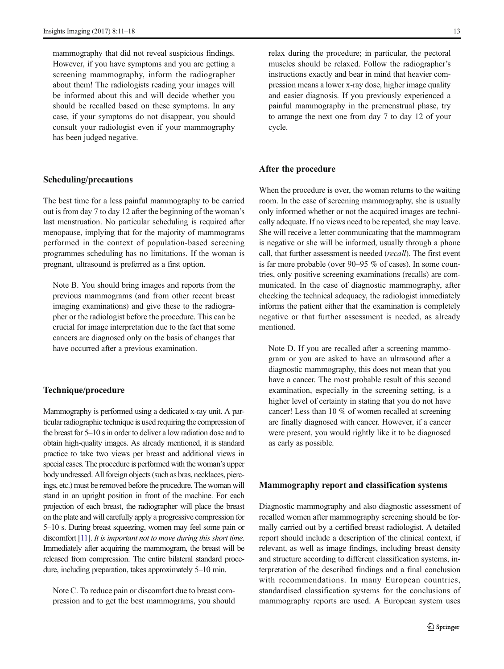mammography that did not reveal suspicious findings. However, if you have symptoms and you are getting a screening mammography, inform the radiographer about them! The radiologists reading your images will be informed about this and will decide whether you should be recalled based on these symptoms. In any case, if your symptoms do not disappear, you should consult your radiologist even if your mammography has been judged negative.

### Scheduling/precautions

The best time for a less painful mammography to be carried out is from day 7 to day 12 after the beginning of the woman's last menstruation. No particular scheduling is required after menopause, implying that for the majority of mammograms performed in the context of population-based screening programmes scheduling has no limitations. If the woman is pregnant, ultrasound is preferred as a first option.

Note B. You should bring images and reports from the previous mammograms (and from other recent breast imaging examinations) and give these to the radiographer or the radiologist before the procedure. This can be crucial for image interpretation due to the fact that some cancers are diagnosed only on the basis of changes that have occurred after a previous examination.

## Technique/procedure

Mammography is performed using a dedicated x-ray unit. A particular radiographic technique is used requiring the compression of the breast for 5–10 s in order to deliver a low radiation dose and to obtain high-quality images. As already mentioned, it is standard practice to take two views per breast and additional views in special cases. The procedure is performed with the woman's upper body undressed. All foreign objects (such as bras, necklaces, piercings, etc.) must be removed before the procedure. The woman will stand in an upright position in front of the machine. For each projection of each breast, the radiographer will place the breast on the plate and will carefully apply a progressive compression for 5–10 s. During breast squeezing, women may feel some pain or discomfort [\[11\]](#page-6-0). It is important not to move during this short time. Immediately after acquiring the mammogram, the breast will be released from compression. The entire bilateral standard procedure, including preparation, takes approximately 5–10 min.

Note C. To reduce pain or discomfort due to breast compression and to get the best mammograms, you should relax during the procedure; in particular, the pectoral muscles should be relaxed. Follow the radiographer's instructions exactly and bear in mind that heavier compression means a lower x-ray dose, higher image quality and easier diagnosis. If you previously experienced a painful mammography in the premenstrual phase, try to arrange the next one from day 7 to day 12 of your cycle.

#### After the procedure

When the procedure is over, the woman returns to the waiting room. In the case of screening mammography, she is usually only informed whether or not the acquired images are technically adequate. If no views need to be repeated, she may leave. She will receive a letter communicating that the mammogram is negative or she will be informed, usually through a phone call, that further assessment is needed (recall). The first event is far more probable (over 90–95 % of cases). In some countries, only positive screening examinations (recalls) are communicated. In the case of diagnostic mammography, after checking the technical adequacy, the radiologist immediately informs the patient either that the examination is completely negative or that further assessment is needed, as already mentioned.

Note D. If you are recalled after a screening mammogram or you are asked to have an ultrasound after a diagnostic mammography, this does not mean that you have a cancer. The most probable result of this second examination, especially in the screening setting, is a higher level of certainty in stating that you do not have cancer! Less than 10 % of women recalled at screening are finally diagnosed with cancer. However, if a cancer were present, you would rightly like it to be diagnosed as early as possible.

#### Mammography report and classification systems

Diagnostic mammography and also diagnostic assessment of recalled women after mammography screening should be formally carried out by a certified breast radiologist. A detailed report should include a description of the clinical context, if relevant, as well as image findings, including breast density and structure according to different classification systems, interpretation of the described findings and a final conclusion with recommendations. In many European countries, standardised classification systems for the conclusions of mammography reports are used. A European system uses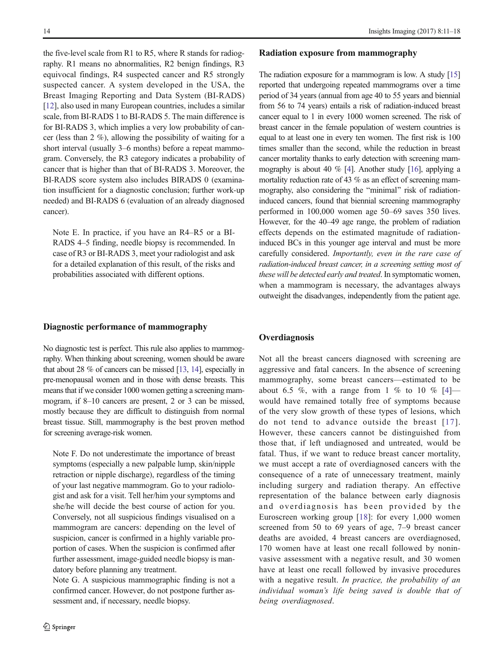the five-level scale from R1 to R5, where R stands for radiography. R1 means no abnormalities, R2 benign findings, R3 equivocal findings, R4 suspected cancer and R5 strongly suspected cancer. A system developed in the USA, the Breast Imaging Reporting and Data System (BI-RADS) [\[12\]](#page-6-0), also used in many European countries, includes a similar scale, from BI-RADS 1 to BI-RADS 5. The main difference is for BI-RADS 3, which implies a very low probability of cancer (less than 2 %), allowing the possibility of waiting for a short interval (usually 3–6 months) before a repeat mammogram. Conversely, the R3 category indicates a probability of cancer that is higher than that of BI-RADS 3. Moreover, the BI-RADS score system also includes BIRADS 0 (examination insufficient for a diagnostic conclusion; further work-up needed) and BI-RADS 6 (evaluation of an already diagnosed cancer).

Note E. In practice, if you have an R4–R5 or a BI-RADS 4–5 finding, needle biopsy is recommended. In case of R3 or BI-RADS 3, meet your radiologist and ask for a detailed explanation of this result, of the risks and probabilities associated with different options.

#### Diagnostic performance of mammography

No diagnostic test is perfect. This rule also applies to mammography. When thinking about screening, women should be aware that about 28 % of cancers can be missed [\[13,](#page-7-0) [14\]](#page-7-0), especially in pre-menopausal women and in those with dense breasts. This means that if we consider 1000 women getting a screening mammogram, if 8–10 cancers are present, 2 or 3 can be missed, mostly because they are difficult to distinguish from normal breast tissue. Still, mammography is the best proven method for screening average-risk women.

Note F. Do not underestimate the importance of breast symptoms (especially a new palpable lump, skin/nipple retraction or nipple discharge), regardless of the timing of your last negative mammogram. Go to your radiologist and ask for a visit. Tell her/him your symptoms and she/he will decide the best course of action for you. Conversely, not all suspicious findings visualised on a mammogram are cancers: depending on the level of suspicion, cancer is confirmed in a highly variable proportion of cases. When the suspicion is confirmed after further assessment, image-guided needle biopsy is mandatory before planning any treatment.

Note G. A suspicious mammographic finding is not a confirmed cancer. However, do not postpone further assessment and, if necessary, needle biopsy.

#### Radiation exposure from mammography

The radiation exposure for a mammogram is low. A study [[15](#page-7-0)] reported that undergoing repeated mammograms over a time period of 34 years (annual from age 40 to 55 years and biennial from 56 to 74 years) entails a risk of radiation-induced breast cancer equal to 1 in every 1000 women screened. The risk of breast cancer in the female population of western countries is equal to at least one in every ten women. The first risk is 100 times smaller than the second, while the reduction in breast cancer mortality thanks to early detection with screening mammography is about 40 % [\[4\]](#page-6-0). Another study [\[16\]](#page-7-0), applying a mortality reduction rate of 43 % as an effect of screening mammography, also considering the "minimal" risk of radiationinduced cancers, found that biennial screening mammography performed in 100,000 women age 50–69 saves 350 lives. However, for the 40–49 age range, the problem of radiation effects depends on the estimated magnitude of radiationinduced BCs in this younger age interval and must be more carefully considered. Importantly, even in the rare case of radiation-induced breast cancer, in a screening setting most of these will be detected early and treated. In symptomatic women, when a mammogram is necessary, the advantages always outweight the disadvanges, independently from the patient age.

## **Overdiagnosis**

Not all the breast cancers diagnosed with screening are aggressive and fatal cancers. In the absence of screening mammography, some breast cancers—estimated to be about 6.5 %, with a range from 1 % to 10 %  $[4]$  $[4]$  would have remained totally free of symptoms because of the very slow growth of these types of lesions, which do not tend to advance outside the breast [[17\]](#page-7-0). However, these cancers cannot be distinguished from those that, if left undiagnosed and untreated, would be fatal. Thus, if we want to reduce breast cancer mortality, we must accept a rate of overdiagnosed cancers with the consequence of a rate of unnecessary treatment, mainly including surgery and radiation therapy. An effective representation of the balance between early diagnosis and overdiagnosis has been provided by the Euroscreen working group [[18\]](#page-7-0): for every 1,000 women screened from 50 to 69 years of age, 7–9 breast cancer deaths are avoided, 4 breast cancers are overdiagnosed, 170 women have at least one recall followed by noninvasive assessment with a negative result, and 30 women have at least one recall followed by invasive procedures with a negative result. In practice, the probability of an individual woman's life being saved is double that of being overdiagnosed.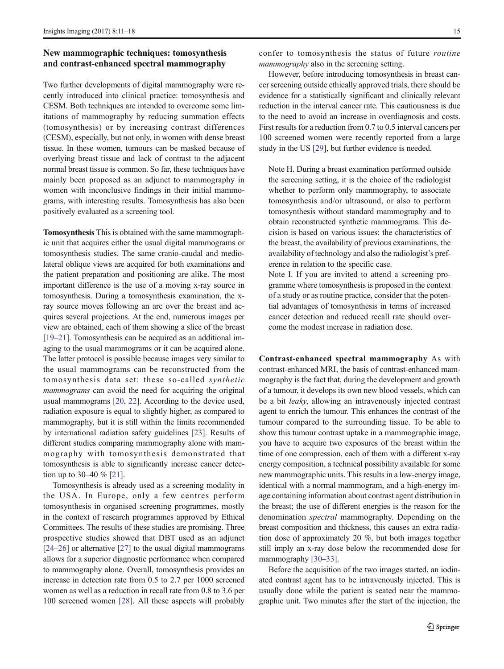# New mammographic techniques: tomosynthesis and contrast-enhanced spectral mammography

Two further developments of digital mammography were recently introduced into clinical practice: tomosynthesis and CESM. Both techniques are intended to overcome some limitations of mammography by reducing summation effects (tomosynthesis) or by increasing contrast differences (CESM), especially, but not only, in women with dense breast tissue. In these women, tumours can be masked because of overlying breast tissue and lack of contrast to the adjacent normal breast tissue is common. So far, these techniques have mainly been proposed as an adjunct to mammography in women with inconclusive findings in their initial mammograms, with interesting results. Tomosynthesis has also been positively evaluated as a screening tool.

Tomosynthesis This is obtained with the same mammographic unit that acquires either the usual digital mammograms or tomosynthesis studies. The same cranio-caudal and mediolateral oblique views are acquired for both examinations and the patient preparation and positioning are alike. The most important difference is the use of a moving x-ray source in tomosynthesis. During a tomosynthesis examination, the xray source moves following an arc over the breast and acquires several projections. At the end, numerous images per view are obtained, each of them showing a slice of the breast [\[19](#page-7-0)–[21\]](#page-7-0). Tomosynthesis can be acquired as an additional imaging to the usual mammograms or it can be acquired alone. The latter protocol is possible because images very similar to the usual mammograms can be reconstructed from the tomosynthesis data set: these so-called synthetic mammograms can avoid the need for acquiring the original usual mammograms [[20](#page-7-0), [22\]](#page-7-0). According to the device used, radiation exposure is equal to slightly higher, as compared to mammography, but it is still within the limits recommended by international radiation safety guidelines [\[23](#page-7-0)]. Results of different studies comparing mammography alone with mammography with tomosynthesis demonstrated that tomosynthesis is able to significantly increase cancer detection up to 30–40  $%$  [\[21](#page-7-0)].

Tomosynthesis is already used as a screening modality in the USA. In Europe, only a few centres perform tomosynthesis in organised screening programmes, mostly in the context of research programmes approved by Ethical Committees. The results of these studies are promising. Three prospective studies showed that DBT used as an adjunct [\[24](#page-7-0)–[26\]](#page-7-0) or alternative [[27\]](#page-7-0) to the usual digital mammograms allows for a superior diagnostic performance when compared to mammography alone. Overall, tomosynthesis provides an increase in detection rate from 0.5 to 2.7 per 1000 screened women as well as a reduction in recall rate from 0.8 to 3.6 per 100 screened women [[28\]](#page-7-0). All these aspects will probably confer to tomosynthesis the status of future routine mammography also in the screening setting.

However, before introducing tomosynthesis in breast cancer screening outside ethically approved trials, there should be evidence for a statistically significant and clinically relevant reduction in the interval cancer rate. This cautiousness is due to the need to avoid an increase in overdiagnosis and costs. First results for a reduction from 0.7 to 0.5 interval cancers per 100 screened women were recently reported from a large study in the US [[29\]](#page-7-0), but further evidence is needed.

Note H. During a breast examination performed outside the screening setting, it is the choice of the radiologist whether to perform only mammography, to associate tomosynthesis and/or ultrasound, or also to perform tomosynthesis without standard mammography and to obtain reconstructed synthetic mammograms. This decision is based on various issues: the characteristics of the breast, the availability of previous examinations, the availability of technology and also the radiologist's preference in relation to the specific case.

Note I. If you are invited to attend a screening programme where tomosynthesis is proposed in the context of a study or as routine practice, consider that the potential advantages of tomosynthesis in terms of increased cancer detection and reduced recall rate should overcome the modest increase in radiation dose.

Contrast-enhanced spectral mammography As with contrast-enhanced MRI, the basis of contrast-enhanced mammography is the fact that, during the development and growth of a tumour, it develops its own new blood vessels, which can be a bit leaky, allowing an intravenously injected contrast agent to enrich the tumour. This enhances the contrast of the tumour compared to the surrounding tissue. To be able to show this tumour contrast uptake in a mammographic image, you have to acquire two exposures of the breast within the time of one compression, each of them with a different x-ray energy composition, a technical possibility available for some new mammographic units. This results in a low-energy image, identical with a normal mammogram, and a high-energy image containing information about contrast agent distribution in the breast; the use of different energies is the reason for the denomination spectral mammography. Depending on the breast composition and thickness, this causes an extra radiation dose of approximately 20 %, but both images together still imply an x-ray dose below the recommended dose for mammography [[30](#page-7-0)–[33](#page-7-0)].

Before the acquisition of the two images started, an iodinated contrast agent has to be intravenously injected. This is usually done while the patient is seated near the mammographic unit. Two minutes after the start of the injection, the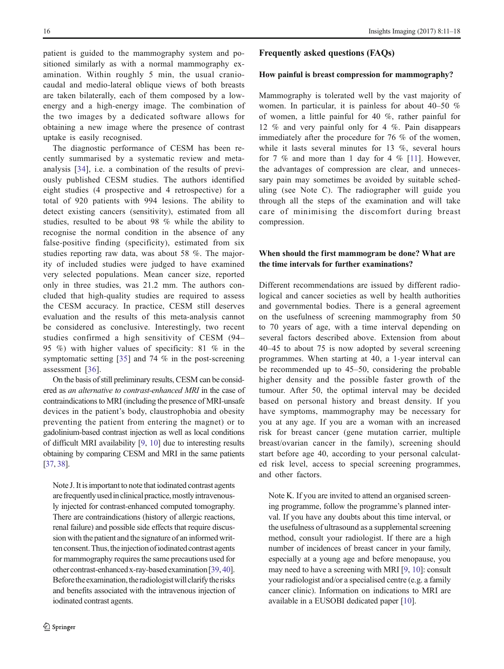patient is guided to the mammography system and positioned similarly as with a normal mammography examination. Within roughly 5 min, the usual craniocaudal and medio-lateral oblique views of both breasts are taken bilaterally, each of them composed by a lowenergy and a high-energy image. The combination of the two images by a dedicated software allows for obtaining a new image where the presence of contrast uptake is easily recognised.

The diagnostic performance of CESM has been recently summarised by a systematic review and metaanalysis [\[34](#page-7-0)], i.e. a combination of the results of previously published CESM studies. The authors identified eight studies (4 prospective and 4 retrospective) for a total of 920 patients with 994 lesions. The ability to detect existing cancers (sensitivity), estimated from all studies, resulted to be about 98 % while the ability to recognise the normal condition in the absence of any false-positive finding (specificity), estimated from six studies reporting raw data, was about 58 %. The majority of included studies were judged to have examined very selected populations. Mean cancer size, reported only in three studies, was 21.2 mm. The authors concluded that high-quality studies are required to assess the CESM accuracy. In practice, CESM still deserves evaluation and the results of this meta-analysis cannot be considered as conclusive. Interestingly, two recent studies confirmed a high sensitivity of CESM (94– 95 %) with higher values of specificity: 81 % in the symptomatic setting [[35](#page-7-0)] and 74 % in the post-screening assessment [[36\]](#page-7-0).

On the basis of still preliminary results, CESM can be considered as an alternative to contrast-enhanced MRI in the case of contraindications to MRI (including the presence of MRI-unsafe devices in the patient's body, claustrophobia and obesity preventing the patient from entering the magnet) or to gadolinium-based contrast injection as well as local conditions of difficult MRI availability [[9](#page-6-0), [10\]](#page-6-0) due to interesting results obtaining by comparing CESM and MRI in the same patients [\[37](#page-7-0), [38](#page-7-0)].

Note J. It is important to note that iodinated contrast agents are frequently used in clinical practice, mostly intravenously injected for contrast-enhanced computed tomography. There are contraindications (history of allergic reactions, renal failure) and possible side effects that require discussion with the patient and the signature of an informed written consent. Thus, the injection of iodinated contrast agents for mammography requires the same precautions used for other contrast-enhanced x-ray-based examination [[39](#page-7-0),[40](#page-7-0)]. Before the examination, the radiologist will clarify the risks and benefits associated with the intravenous injection of iodinated contrast agents.

## Frequently asked questions (FAQs)

#### How painful is breast compression for mammography?

Mammography is tolerated well by the vast majority of women. In particular, it is painless for about 40–50 % of women, a little painful for 40 %, rather painful for 12 % and very painful only for 4 %. Pain disappears immediately after the procedure for 76 % of the women, while it lasts several minutes for 13 %, several hours for 7 % and more than 1 day for 4 % [[11](#page-6-0)]. However, the advantages of compression are clear, and unnecessary pain may sometimes be avoided by suitable scheduling (see Note C). The radiographer will guide you through all the steps of the examination and will take care of minimising the discomfort during breast compression.

# When should the first mammogram be done? What are the time intervals for further examinations?

Different recommendations are issued by different radiological and cancer societies as well by health authorities and governmental bodies. There is a general agreement on the usefulness of screening mammography from 50 to 70 years of age, with a time interval depending on several factors described above. Extension from about 40–45 to about 75 is now adopted by several screening programmes. When starting at 40, a 1-year interval can be recommended up to 45–50, considering the probable higher density and the possible faster growth of the tumour. After 50, the optimal interval may be decided based on personal history and breast density. If you have symptoms, mammography may be necessary for you at any age. If you are a woman with an increased risk for breast cancer (gene mutation carrier, multiple breast/ovarian cancer in the family), screening should start before age 40, according to your personal calculated risk level, access to special screening programmes, and other factors.

Note K. If you are invited to attend an organised screening programme, follow the programme's planned interval. If you have any doubts about this time interval, or the usefulness of ultrasound as a supplemental screening method, consult your radiologist. If there are a high number of incidences of breast cancer in your family, especially at a young age and before menopause, you may need to have a screening with MRI [\[9](#page-6-0), [10\]](#page-6-0): consult your radiologist and/or a specialised centre (e.g. a family cancer clinic). Information on indications to MRI are available in a EUSOBI dedicated paper [[10\]](#page-6-0).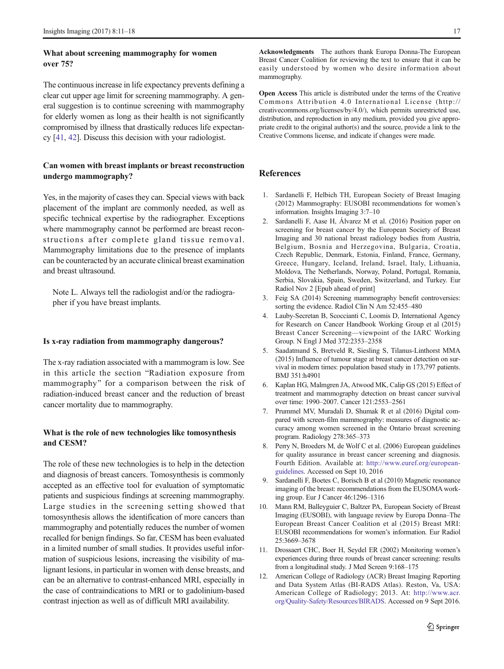## <span id="page-6-0"></span>What about screening mammography for women over 75?

The continuous increase in life expectancy prevents defining a clear cut upper age limit for screening mammography. A general suggestion is to continue screening with mammography for elderly women as long as their health is not significantly compromised by illness that drastically reduces life expectancy [\[41,](#page-7-0) [42\]](#page-7-0). Discuss this decision with your radiologist.

# Can women with breast implants or breast reconstruction undergo mammography?

Yes, in the majority of cases they can. Special views with back placement of the implant are commonly needed, as well as specific technical expertise by the radiographer. Exceptions where mammography cannot be performed are breast reconstructions after complete gland tissue removal. Mammography limitations due to the presence of implants can be counteracted by an accurate clinical breast examination and breast ultrasound.

Note L. Always tell the radiologist and/or the radiographer if you have breast implants.

#### Is x-ray radiation from mammography dangerous?

The x-ray radiation associated with a mammogram is low. See in this article the section "Radiation exposure from mammography" for a comparison between the risk of radiation-induced breast cancer and the reduction of breast cancer mortality due to mammography.

## What is the role of new technologies like tomosynthesis and CESM?

The role of these new technologies is to help in the detection and diagnosis of breast cancers. Tomosynthesis is commonly accepted as an effective tool for evaluation of symptomatic patients and suspicious findings at screening mammography. Large studies in the screening setting showed that tomosynthesis allows the identification of more cancers than mammography and potentially reduces the number of women recalled for benign findings. So far, CESM has been evaluated in a limited number of small studies. It provides useful information of suspicious lesions, increasing the visibility of malignant lesions, in particular in women with dense breasts, and can be an alternative to contrast-enhanced MRI, especially in the case of contraindications to MRI or to gadolinium-based contrast injection as well as of difficult MRI availability.

Acknowledgments The authors thank Europa Donna-The European Breast Cancer Coalition for reviewing the text to ensure that it can be easily understood by women who desire information about mammography.

Open Access This article is distributed under the terms of the Creative Commons Attribution 4.0 International License (http:// creativecommons.org/licenses/by/4.0/), which permits unrestricted use, distribution, and reproduction in any medium, provided you give appropriate credit to the original author(s) and the source, provide a link to the Creative Commons license, and indicate if changes were made.

## **References**

- 1. Sardanelli F, Helbich TH, European Society of Breast Imaging (2012) Mammography: EUSOBI recommendations for women's information. Insights Imaging 3:7–10
- 2. Sardanelli F, Aase H, Álvarez M et al. (2016) Position paper on screening for breast cancer by the European Society of Breast Imaging and 30 national breast radiology bodies from Austria, Belgium, Bosnia and Herzegovina, Bulgaria, Croatia, Czech Republic, Denmark, Estonia, Finland, France, Germany, Greece, Hungary, Iceland, Ireland, Israel, Italy, Lithuania, Moldova, The Netherlands, Norway, Poland, Portugal, Romania, Serbia, Slovakia, Spain, Sweden, Switzerland, and Turkey. Eur Radiol Nov 2 [Epub ahead of print]
- 3. Feig SA (2014) Screening mammography benefit controversies: sorting the evidence. Radiol Clin N Am 52:455–480
- 4. Lauby-Secretan B, Scoccianti C, Loomis D, International Agency for Research on Cancer Handbook Working Group et al (2015) Breast Cancer Screening—viewpoint of the IARC Working Group. N Engl J Med 372:2353–2358
- 5. Saadatmand S, Bretveld R, Siesling S, Tilanus-Linthorst MMA (2015) Influence of tumour stage at breast cancer detection on survival in modern times: population based study in 173,797 patients. BMJ 351:h4901
- 6. Kaplan HG, Malmgren JA, Atwood MK, Calip GS (2015) Effect of treatment and mammography detection on breast cancer survival over time: 1990–2007. Cancer 121:2553–2561
- 7. Prummel MV, Muradali D, Shumak R et al (2016) Digital compared with screen-film mammography: measures of diagnostic accuracy among women screened in the Ontario breast screening program. Radiology 278:365–373
- 8. Perry N, Broeders M, de Wolf C et al. (2006) European guidelines for quality assurance in breast cancer screening and diagnosis. Fourth Edition. Available at: [http://www.euref.org/european](http://dx.doi.org/http://www.euref.org/european-guidelines)[guidelines.](http://dx.doi.org/http://www.euref.org/european-guidelines) Accessed on Sept 10, 2016
- 9. Sardanelli F, Boetes C, Borisch B et al (2010) Magnetic resonance imaging of the breast: recommendations from the EUSOMA working group. Eur J Cancer 46:1296–1316
- 10. Mann RM, Balleyguier C, Baltzer PA, European Society of Breast Imaging (EUSOBI), with language review by Europa Donna–The European Breast Cancer Coalition et al (2015) Breast MRI: EUSOBI recommendations for women's information. Eur Radiol 25:3669–3678
- 11. Drossaert CHC, Boer H, Seydel ER (2002) Monitoring women's experiences during three rounds of breast cancer screening: results from a longitudinal study. J Med Screen 9:168–175
- 12. American College of Radiology (ACR) Breast Imaging Reporting and Data System Atlas (BI-RADS Atlas). Reston, Va, USA: American College of Radiology; 2013. At: [http://www.acr.](http://dx.doi.org/http://www.acr.org/Quality-Safety/Resources/BIRADS) [org/Quality-Safety/Resources/BIRADS](http://dx.doi.org/http://www.acr.org/Quality-Safety/Resources/BIRADS). Accessed on 9 Sept 2016.